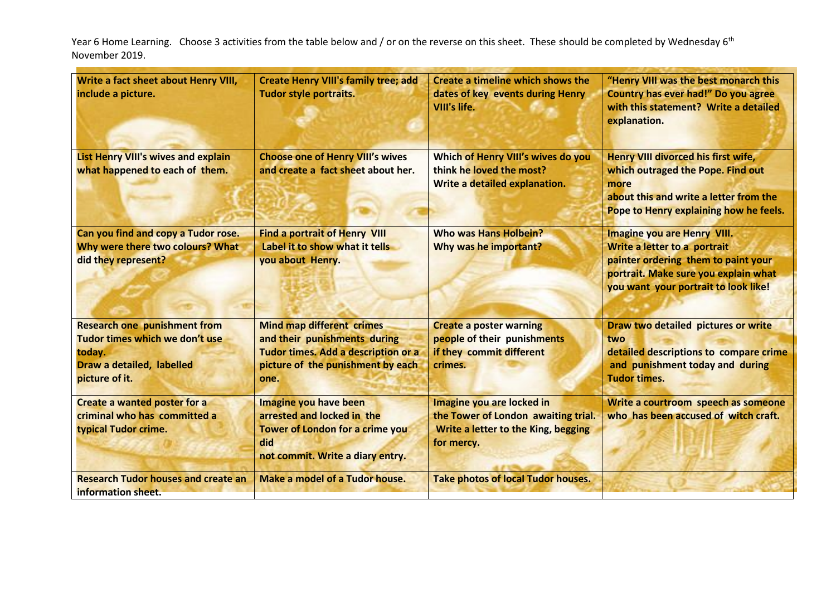Year 6 Home Learning. Choose 3 activities from the table below and / or on the reverse on this sheet. These should be completed by Wednesday 6<sup>th</sup> November 2019.

| Write a fact sheet about Henry VIII,<br>include a picture.                                                                     | <b>Create Henry VIII's family tree; add</b><br><b>Tudor style portraits.</b>                                                                         | Create a timeline which shows the<br>dates of key events during Henry<br>VIII's life.                                 | "Henry VIII was the best monarch this<br><b>Country has ever had!" Do you agree</b><br>with this statement? Write a detailed<br>explanation.                                              |
|--------------------------------------------------------------------------------------------------------------------------------|------------------------------------------------------------------------------------------------------------------------------------------------------|-----------------------------------------------------------------------------------------------------------------------|-------------------------------------------------------------------------------------------------------------------------------------------------------------------------------------------|
| <b>List Henry VIII's wives and explain</b><br>what happened to each of them.                                                   | <b>Choose one of Henry VIII's wives</b><br>and create a fact sheet about her.                                                                        | Which of Henry VIII's wives do you<br>think he loved the most?<br>Write a detailed explanation.                       | Henry VIII divorced his first wife,<br>which outraged the Pope. Find out<br>more<br>about this and write a letter from the<br>Pope to Henry explaining how he feels.                      |
| Can you find and copy a Tudor rose.<br>Why were there two colours? What<br>did they represent?                                 | <b>Find a portrait of Henry VIII</b><br>Label it to show what it tells<br>you about Henry.                                                           | <b>Who was Hans Holbein?</b><br>Why was he important?                                                                 | <b>Imagine you are Henry VIII.</b><br>Write a letter to a portrait<br>painter ordering them to paint your<br>portrait. Make sure you explain what<br>you want your portrait to look like! |
| <b>Research one punishment from</b><br>Tudor times which we don't use<br>today.<br>Draw a detailed, labelled<br>picture of it. | <b>Mind map different crimes</b><br>and their punishments during<br>Tudor times. Add a description or a<br>picture of the punishment by each<br>one. | <b>Create a poster warning</b><br>people of their punishments<br>if they commit different<br>crimes.                  | Draw two detailed pictures or write<br>two<br>detailed descriptions to compare crime<br>and punishment today and during<br><b>Tudor times.</b>                                            |
| <b>Create a wanted poster for a</b><br>criminal who has committed a<br>typical Tudor crime.                                    | Imagine you have been<br>arrested and locked in the<br><b>Tower of London for a crime you</b><br>did<br>not commit. Write a diary entry.             | Imagine you are locked in<br>the Tower of London awaiting trial.<br>Write a letter to the King, begging<br>for mercy. | Write a courtroom speech as someone<br>who has been accused of witch craft.                                                                                                               |
| <b>Research Tudor houses and create an</b><br>information sheet.                                                               | Make a model of a Tudor house.                                                                                                                       | <b>Take photos of local Tudor houses.</b>                                                                             |                                                                                                                                                                                           |